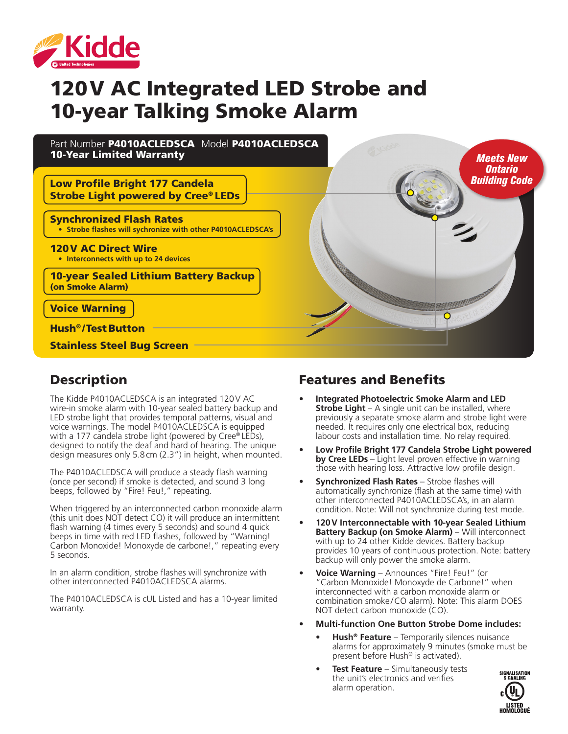

# 120V AC Integrated LED Strobe and 10-year Talking Smoke Alarm



## Description

The Kidde P4010ACLEDSCA is an integrated 120V AC wire-in smoke alarm with 10-year sealed battery backup and LED strobe light that provides temporal patterns, visual and voice warnings. The model P4010ACLEDSCA is equipped with a 177 candela strobe light (powered by Cree® LEDs), designed to notify the deaf and hard of hearing. The unique design measures only 5.8cm (2.3") in height, when mounted.

The P4010ACLEDSCA will produce a steady flash warning (once per second) if smoke is detected, and sound 3 long beeps, followed by "Fire! Feu!," repeating.

When triggered by an interconnected carbon monoxide alarm (this unit does NOT detect CO) it will produce an intermittent flash warning (4 times every 5 seconds) and sound 4 quick beeps in time with red LED flashes, followed by "Warning! Carbon Monoxide! Monoxyde de carbone!," repeating every 5 seconds.

In an alarm condition, strobe flashes will synchronize with other interconnected P4010ACLEDSCA alarms.

The P4010ACLEDSCA is cUL Listed and has a 10-year limited warranty.

## Features and Benefits

- **• Integrated Photoelectric Smoke Alarm and LED Strobe Light** – A single unit can be installed, where previously a separate smoke alarm and strobe light were needed. It requires only one electrical box, reducing labour costs and installation time. No relay required.
- **• Low Profile Bright 177 Candela Strobe Light powered by Cree LEDs** – Light level proven effective in warning those with hearing loss. Attractive low profile design.
- **• Synchronized Flash Rates**  Strobe flashes will automatically synchronize (flash at the same time) with other interconnected P4010ACLEDSCA's, in an alarm condition. Note: Will not synchronize during test mode.
- **• 120V Interconnectable with 10-year Sealed Lithium**  Battery Backup (on Smoke Alarm) - Will interconnect with up to 24 other Kidde devices. Battery backup provides 10 years of continuous protection. Note: battery backup will only power the smoke alarm.
- **• Voice Warning** Announces "Fire! Feu!" (or "Carbon Monoxide! Monoxyde de Carbone!" when interconnected with a carbon monoxide alarm or combination smoke/CO alarm). Note: This alarm DOES NOT detect carbon monoxide (CO).
- **• Multi-function One Button Strobe Dome includes:**
	- **• Hush® Feature** Temporarily silences nuisance alarms for approximately 9 minutes (smoke must be present before Hush® is activated).
	- **• Test Feature** Simultaneously tests the unit's electronics and verifies alarm operation.